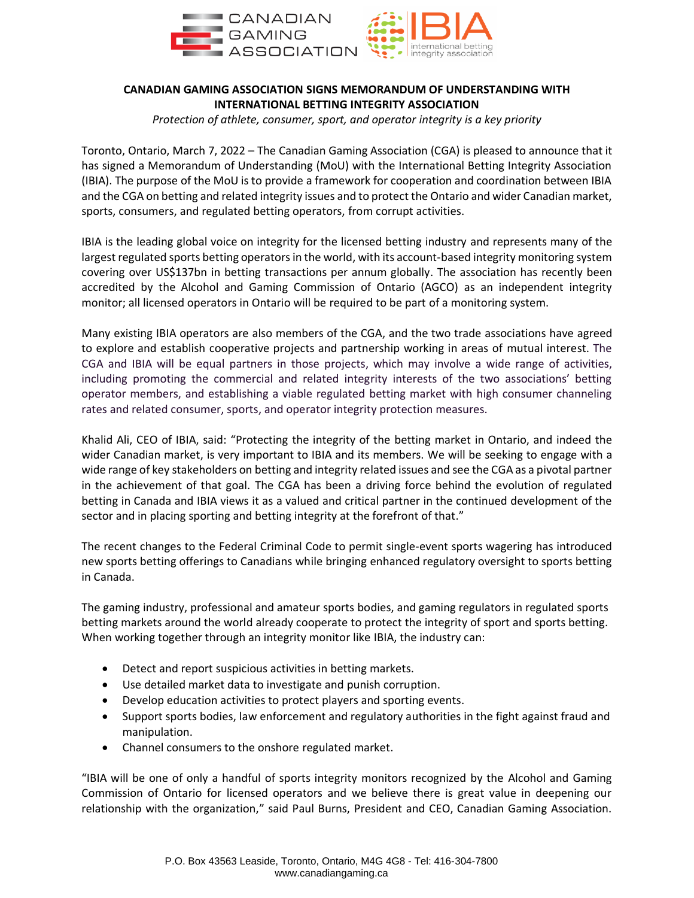

## **CANADIAN GAMING ASSOCIATION SIGNS MEMORANDUM OF UNDERSTANDING WITH INTERNATIONAL BETTING INTEGRITY ASSOCIATION**

*Protection of athlete, consumer, sport, and operator integrity is a key priority*

Toronto, Ontario, March 7, 2022 – The Canadian Gaming Association (CGA) is pleased to announce that it has signed a Memorandum of Understanding (MoU) with the International Betting Integrity Association (IBIA). The purpose of the MoU is to provide a framework for cooperation and coordination between IBIA and the CGA on betting and related integrity issues and to protect the Ontario and wider Canadian market, sports, consumers, and regulated betting operators, from corrupt activities.

IBIA is the leading global voice on integrity for the licensed betting industry and represents many of the largest regulated sports betting operators in the world, with its account-based integrity monitoring system covering over US\$137bn in betting transactions per annum globally. The association has recently been accredited by the Alcohol and Gaming Commission of Ontario (AGCO) as an independent integrity monitor; all licensed operators in Ontario will be required to be part of a monitoring system.

Many existing IBIA operators are also members of the CGA, and the two trade associations have agreed to explore and establish cooperative projects and partnership working in areas of mutual interest. The CGA and IBIA will be equal partners in those projects, which may involve a wide range of activities, including promoting the commercial and related integrity interests of the two associations' betting operator members, and establishing a viable regulated betting market with high consumer channeling rates and related consumer, sports, and operator integrity protection measures.

Khalid Ali, CEO of IBIA, said: "Protecting the integrity of the betting market in Ontario, and indeed the wider Canadian market, is very important to IBIA and its members. We will be seeking to engage with a wide range of key stakeholders on betting and integrity related issues and see the CGA as a pivotal partner in the achievement of that goal. The CGA has been a driving force behind the evolution of regulated betting in Canada and IBIA views it as a valued and critical partner in the continued development of the sector and in placing sporting and betting integrity at the forefront of that."

The recent changes to the Federal Criminal Code to permit single-event sports wagering has introduced new sports betting offerings to Canadians while bringing enhanced regulatory oversight to sports betting in Canada.

The gaming industry, professional and amateur sports bodies, and gaming regulators in regulated sports betting markets around the world already cooperate to protect the integrity of sport and sports betting. When working together through an integrity monitor like IBIA, the industry can:

- Detect and report suspicious activities in betting markets.
- Use detailed market data to investigate and punish corruption.
- Develop education activities to protect players and sporting events.
- Support sports bodies, law enforcement and regulatory authorities in the fight against fraud and manipulation.
- Channel consumers to the onshore regulated market.

"IBIA will be one of only a handful of sports integrity monitors recognized by the Alcohol and Gaming Commission of Ontario for licensed operators and we believe there is great value in deepening our relationship with the organization," said Paul Burns, President and CEO, Canadian Gaming Association.